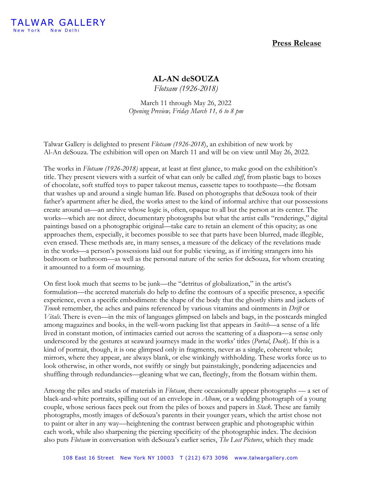

## **Press Release**

## **AL-AN deSOUZA**

*Flotsam (1926-2018)*

March 11 through May 26, 2022 *Opening Preview, Friday March 11, 6 to 8 pm* 

Talwar Gallery is delighted to present *Flotsam (1926-2018*), an exhibition of new work by Al-An deSouza. The exhibition will open on March 11 and will be on view until May 26, 2022.

The works in *Flotsam (1926-2018)* appear, at least at first glance, to make good on the exhibition's title. They present viewers with a surfeit of what can only be called *stuff*, from plastic bags to boxes of chocolate, soft stuffed toys to paper takeout menus, cassette tapes to toothpaste––the flotsam that washes up and around a single human life. Based on photographs that deSouza took of their father's apartment after he died, the works attest to the kind of informal archive that our possessions create around us––an archive whose logic is, often, opaque to all but the person at its center. The works––which are not direct, documentary photographs but what the artist calls "renderings," digital paintings based on a photographic original––take care to retain an element of this opacity; as one approaches them, especially, it becomes possible to see that parts have been blurred, made illegible, even erased. These methods are, in many senses, a measure of the delicacy of the revelations made in the works––a person's possessions laid out for public viewing, as if inviting strangers into his bedroom or bathroom––as well as the personal nature of the series for deSouza, for whom creating it amounted to a form of mourning.

On first look much that seems to be junk––the "detritus of globalization," in the artist's formulation––the accreted materials do help to define the contours of a specific presence, a specific experience, even a specific embodiment: the shape of the body that the ghostly shirts and jackets of *Trunk* remember, the aches and pains referenced by various vitamins and ointments in *Drift* or *Vitals*. There is even––in the mix of languages glimpsed on labels and bags, in the postcards mingled among magazines and books, in the well-worn packing list that appears in *Switch*––a sense of a life lived in constant motion, of intimacies carried out across the scattering of a diaspora––a sense only underscored by the gestures at seaward journeys made in the works' titles (*Portal*, *Dock*). If this is a kind of portrait, though, it is one glimpsed only in fragments, never as a single, coherent whole; mirrors, where they appear, are always blank, or else winkingly withholding. These works force us to look otherwise, in other words, not swiftly or singly but painstakingly, pondering adjacencies and shuffling through redundancies—gleaning what we can, fleetingly, from the flotsam within them.

Among the piles and stacks of materials in *Flotsam*, there occasionally appear photographs — a set of black-and-white portraits, spilling out of an envelope in *Album*, or a wedding photograph of a young couple, whose serious faces peek out from the piles of boxes and papers in *Stack*. These are family photographs, mostly images of deSouza's parents in their younger years, which the artist chose not to paint or alter in any way—heightening the contrast between graphic and photographic within each work, while also sharpening the piercing specificity of the photographic index. The decision also puts *Flotsam* in conversation with deSouza's earlier series, *The Lost Pictures*, which they made